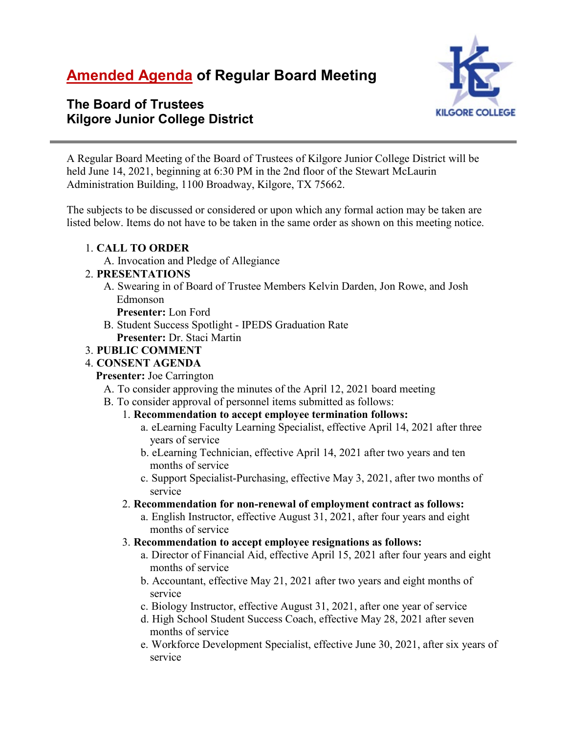# **Amended Agenda of Regular Board Meeting**



# **The Board of Trustees Kilgore Junior College District**

A Regular Board Meeting of the Board of Trustees of Kilgore Junior College District will be held June 14, 2021, beginning at 6:30 PM in the 2nd floor of the Stewart McLaurin Administration Building, 1100 Broadway, Kilgore, TX 75662.

The subjects to be discussed or considered or upon which any formal action may be taken are listed below. Items do not have to be taken in the same order as shown on this meeting notice.

# 1. **CALL TO ORDER**

A. Invocation and Pledge of Allegiance

# 2. **PRESENTATIONS**

A. Swearing in of Board of Trustee Members Kelvin Darden, Jon Rowe, and Josh Edmonson

**Presenter:** Lon Ford

B. Student Success Spotlight - IPEDS Graduation Rate **Presenter:** Dr. Staci Martin

# 3. **PUBLIC COMMENT**

# 4. **CONSENT AGENDA**

**Presenter:** Joe Carrington

- A. To consider approving the minutes of the April 12, 2021 board meeting
- B. To consider approval of personnel items submitted as follows:
	- 1. **Recommendation to accept employee termination follows:**
		- a. eLearning Faculty Learning Specialist, effective April 14, 2021 after three years of service
		- b. eLearning Technician, effective April 14, 2021 after two years and ten months of service
		- c. Support Specialist-Purchasing, effective May 3, 2021, after two months of service
	- 2. **Recommendation for non-renewal of employment contract as follows:**
		- a. English Instructor, effective August 31, 2021, after four years and eight months of service

#### 3. **Recommendation to accept employee resignations as follows:**

- a. Director of Financial Aid, effective April 15, 2021 after four years and eight months of service
- b. Accountant, effective May 21, 2021 after two years and eight months of service
- c. Biology Instructor, effective August 31, 2021, after one year of service
- d. High School Student Success Coach, effective May 28, 2021 after seven months of service
- e. Workforce Development Specialist, effective June 30, 2021, after six years of service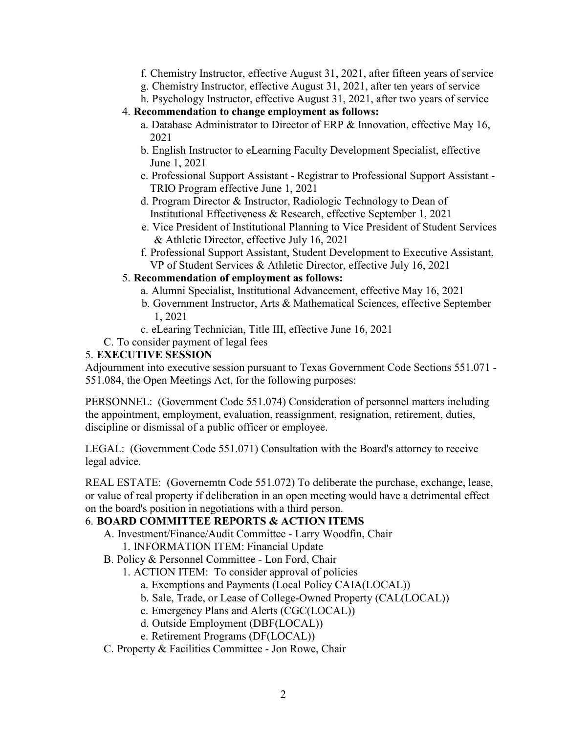- f. Chemistry Instructor, effective August 31, 2021, after fifteen years of service
- g. Chemistry Instructor, effective August 31, 2021, after ten years of service
- h. Psychology Instructor, effective August 31, 2021, after two years of service
- 4. **Recommendation to change employment as follows:**
	- a. Database Administrator to Director of ERP & Innovation, effective May 16, 2021
	- b. English Instructor to eLearning Faculty Development Specialist, effective June 1, 2021
	- c. Professional Support Assistant Registrar to Professional Support Assistant TRIO Program effective June 1, 2021
	- d. Program Director & Instructor, Radiologic Technology to Dean of Institutional Effectiveness & Research, effective September 1, 2021
	- e. Vice President of Institutional Planning to Vice President of Student Services & Athletic Director, effective July 16, 2021
	- f. Professional Support Assistant, Student Development to Executive Assistant, VP of Student Services & Athletic Director, effective July 16, 2021

# 5. **Recommendation of employment as follows:**

- a. Alumni Specialist, Institutional Advancement, effective May 16, 2021
- b. Government Instructor, Arts & Mathematical Sciences, effective September 1, 2021
- c. eLearing Technician, Title III, effective June 16, 2021
- C. To consider payment of legal fees

# 5. **EXECUTIVE SESSION**

Adjournment into executive session pursuant to Texas Government Code Sections 551.071 - 551.084, the Open Meetings Act, for the following purposes:

PERSONNEL: (Government Code 551.074) Consideration of personnel matters including the appointment, employment, evaluation, reassignment, resignation, retirement, duties, discipline or dismissal of a public officer or employee.

LEGAL: (Government Code 551.071) Consultation with the Board's attorney to receive legal advice.

REAL ESTATE: (Governemtn Code 551.072) To deliberate the purchase, exchange, lease, or value of real property if deliberation in an open meeting would have a detrimental effect on the board's position in negotiations with a third person.

# 6. **BOARD COMMITTEE REPORTS & ACTION ITEMS**

- A. Investment/Finance/Audit Committee Larry Woodfin, Chair
	- 1. INFORMATION ITEM: Financial Update
- B. Policy & Personnel Committee Lon Ford, Chair
	- 1. ACTION ITEM: To consider approval of policies
		- a. Exemptions and Payments (Local Policy CAIA(LOCAL))
		- b. Sale, Trade, or Lease of College-Owned Property (CAL(LOCAL))
		- c. Emergency Plans and Alerts (CGC(LOCAL))
		- d. Outside Employment (DBF(LOCAL))
		- e. Retirement Programs (DF(LOCAL))
- C. Property & Facilities Committee Jon Rowe, Chair